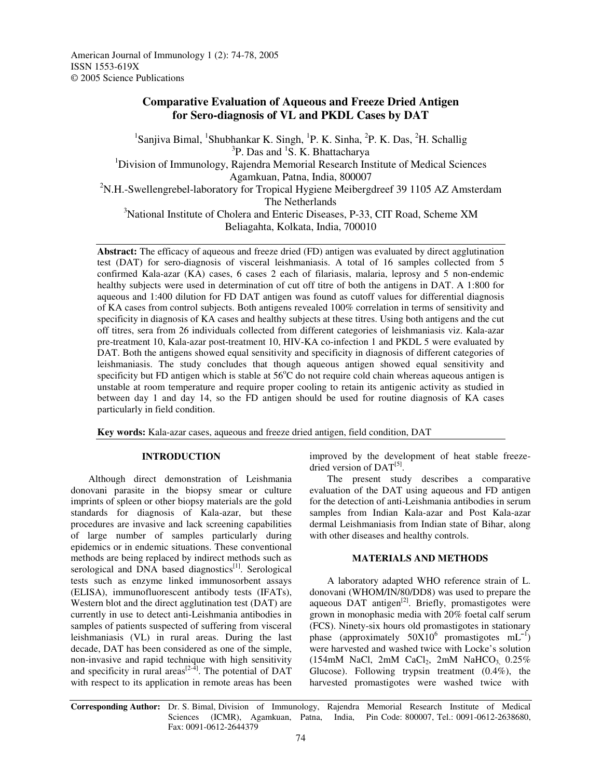American Journal of Immunology 1 (2): 74-78, 2005 ISSN 1553-619X © 2005 Science Publications

# **Comparative Evaluation of Aqueous and Freeze Dried Antigen for Sero-diagnosis of VL and PKDL Cases by DAT**

<sup>1</sup>Sanjiva Bimal, <sup>1</sup>Shubhankar K. Singh, <sup>1</sup>P. K. Sinha, <sup>2</sup>P. K. Das, <sup>2</sup>H. Schallig <sup>3</sup>P. Das and <sup>1</sup>S. K. Bhattacharya <sup>1</sup>Division of Immunology, Rajendra Memorial Research Institute of Medical Sciences Agamkuan, Patna, India, 800007 <sup>2</sup>N.H.-Swellengrebel-laboratory for Tropical Hygiene Meibergdreef 39 1105 AZ Amsterdam The Netherlands <sup>3</sup>National Institute of Cholera and Enteric Diseases, P-33, CIT Road, Scheme XM Beliagahta, Kolkata, India, 700010

**Abstract:** The efficacy of aqueous and freeze dried (FD) antigen was evaluated by direct agglutination test (DAT) for sero-diagnosis of visceral leishmaniasis. A total of 16 samples collected from 5 confirmed Kala-azar (KA) cases, 6 cases 2 each of filariasis, malaria, leprosy and 5 non-endemic healthy subjects were used in determination of cut off titre of both the antigens in DAT. A 1:800 for aqueous and 1:400 dilution for FD DAT antigen was found as cutoff values for differential diagnosis of KA cases from control subjects. Both antigens revealed 100% correlation in terms of sensitivity and specificity in diagnosis of KA cases and healthy subjects at these titres. Using both antigens and the cut off titres, sera from 26 individuals collected from different categories of leishmaniasis viz. Kala-azar pre-treatment 10, Kala-azar post-treatment 10, HIV-KA co-infection 1 and PKDL 5 were evaluated by DAT. Both the antigens showed equal sensitivity and specificity in diagnosis of different categories of leishmaniasis. The study concludes that though aqueous antigen showed equal sensitivity and specificity but FD antigen which is stable at  $56^{\circ}$ C do not require cold chain whereas aqueous antigen is unstable at room temperature and require proper cooling to retain its antigenic activity as studied in between day 1 and day 14, so the FD antigen should be used for routine diagnosis of KA cases particularly in field condition.

**Key words:** Kala-azar cases, aqueous and freeze dried antigen, field condition, DAT

#### **INTRODUCTION**

Although direct demonstration of Leishmania donovani parasite in the biopsy smear or culture imprints of spleen or other biopsy materials are the gold standards for diagnosis of Kala-azar, but these procedures are invasive and lack screening capabilities of large number of samples particularly during epidemics or in endemic situations. These conventional methods are being replaced by indirect methods such as serological and DNA based diagnostics<sup>[1]</sup>. Serological tests such as enzyme linked immunosorbent assays (ELISA), immunofluorescent antibody tests (IFATs), Western blot and the direct agglutination test (DAT) are currently in use to detect anti-Leishmania antibodies in samples of patients suspected of suffering from visceral leishmaniasis (VL) in rural areas. During the last decade, DAT has been considered as one of the simple, non-invasive and rapid technique with high sensitivity and specificity in rural areas $^{[2-4]}$ . The potential of DAT with respect to its application in remote areas has been

improved by the development of heat stable freezedried version of DAT<sup>[5]</sup>.

The present study describes a comparative evaluation of the DAT using aqueous and FD antigen for the detection of anti-Leishmania antibodies in serum samples from Indian Kala-azar and Post Kala-azar dermal Leishmaniasis from Indian state of Bihar, along with other diseases and healthy controls.

#### **MATERIALS AND METHODS**

A laboratory adapted WHO reference strain of L. donovani (WHOM/IN/80/DD8) was used to prepare the aqueous DAT antigen<sup>[2]</sup>. Briefly, promastigotes were grown in monophasic media with 20% foetal calf serum (FCS). Ninety-six hours old promastigotes in stationary phase (approximately  $50X10^6$  promastigotes mL<sup>-1</sup>) were harvested and washed twice with Locke's solution  $(154 \text{mM}$  NaCl,  $2 \text{mM}$  CaCl<sub>2</sub>,  $2 \text{mM}$  NaHCO<sub>3,</sub>  $0.25\%$ Glucose). Following trypsin treatment (0.4%), the harvested promastigotes were washed twice with

**Corresponding Author:** Dr. S. Bimal, Division of Immunology, Rajendra Memorial Research Institute of Medical Sciences (ICMR), Agamkuan, Patna, India, Pin Code: 800007, Tel.: 0091-0612-2638680, Fax: 0091-0612-2644379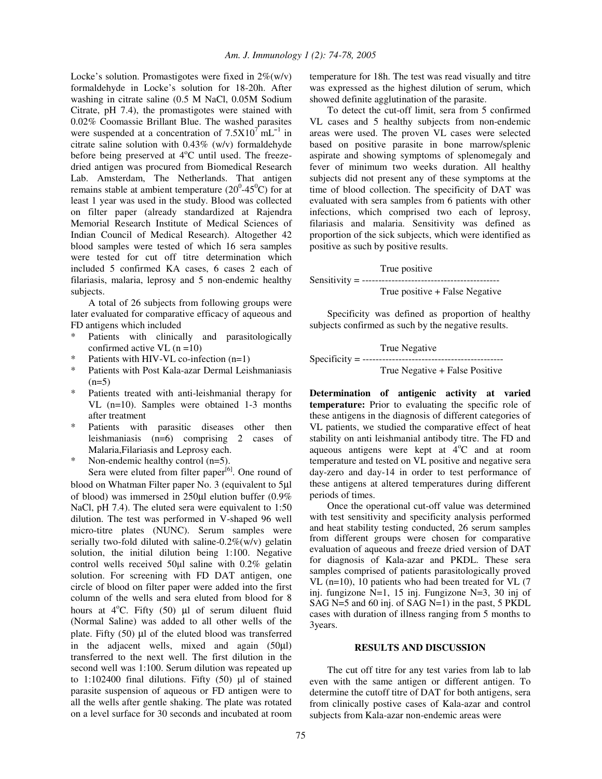Locke's solution. Promastigotes were fixed in  $2\%$ (w/v) formaldehyde in Locke's solution for 18-20h. After washing in citrate saline (0.5 M NaCl, 0.05M Sodium Citrate, pH 7.4), the promastigotes were stained with 0.02% Coomassie Brillant Blue. The washed parasites were suspended at a concentration of  $7.5X10<sup>7</sup>$  mL<sup>-1</sup> in citrate saline solution with 0.43% (w/v) formaldehyde before being preserved at 4°C until used. The freezedried antigen was procured from Biomedical Research Lab. Amsterdam, The Netherlands. That antigen remains stable at ambient temperature  $(20^{\circ} - 45^{\circ}C)$  for at least 1 year was used in the study. Blood was collected on filter paper (already standardized at Rajendra Memorial Research Institute of Medical Sciences of Indian Council of Medical Research). Altogether 42 blood samples were tested of which 16 sera samples were tested for cut off titre determination which included 5 confirmed KA cases, 6 cases 2 each of filariasis, malaria, leprosy and 5 non-endemic healthy subjects.

A total of 26 subjects from following groups were later evaluated for comparative efficacy of aqueous and FD antigens which included

- Patients with clinically and parasitologically confirmed active VL  $(n=10)$
- Patients with HIV-VL co-infection  $(n=1)$
- \* Patients with Post Kala-azar Dermal Leishmaniasis  $(n=5)$
- Patients treated with anti-leishmanial therapy for VL (n=10). Samples were obtained 1-3 months after treatment
- Patients with parasitic diseases other then leishmaniasis (n=6) comprising 2 cases of Malaria,Filariasis and Leprosy each.
- Non-endemic healthy control  $(n=5)$ .

Sera were eluted from filter paper<sup>[6]</sup>. One round of blood on Whatman Filter paper No. 3 (equivalent to 5µl of blood) was immersed in 250µl elution buffer (0.9% NaCl, pH 7.4). The eluted sera were equivalent to 1:50 dilution. The test was performed in V-shaped 96 well micro-titre plates (NUNC). Serum samples were serially two-fold diluted with saline-0.2%(w/v) gelatin solution, the initial dilution being 1:100. Negative control wells received  $50\mu l$  saline with  $0.2\%$  gelatin solution. For screening with FD DAT antigen, one circle of blood on filter paper were added into the first column of the wells and sera eluted from blood for 8 hours at  $4^{\circ}$ C. Fifty (50)  $\mu$ l of serum diluent fluid (Normal Saline) was added to all other wells of the plate. Fifty  $(50)$  µl of the eluted blood was transferred in the adjacent wells, mixed and again (50µl) transferred to the next well. The first dilution in the second well was 1:100. Serum dilution was repeated up to  $1:102400$  final dilutions. Fifty  $(50)$   $\mu$ l of stained parasite suspension of aqueous or FD antigen were to all the wells after gentle shaking. The plate was rotated on a level surface for 30 seconds and incubated at room

temperature for 18h. The test was read visually and titre was expressed as the highest dilution of serum, which showed definite agglutination of the parasite.

To detect the cut-off limit, sera from 5 confirmed VL cases and 5 healthy subjects from non-endemic areas were used. The proven VL cases were selected based on positive parasite in bone marrow/splenic aspirate and showing symptoms of splenomegaly and fever of minimum two weeks duration. All healthy subjects did not present any of these symptoms at the time of blood collection. The specificity of DAT was evaluated with sera samples from 6 patients with other infections, which comprised two each of leprosy, filariasis and malaria. Sensitivity was defined as proportion of the sick subjects, which were identified as positive as such by positive results.

True positive Sensitivity = ------------------------------------------ True positive + False Negative

Specificity was defined as proportion of healthy subjects confirmed as such by the negative results.

True Negative

Specificity = -------------------------------------------

True Negative + False Positive

**Determination of antigenic activity at varied temperature:** Prior to evaluating the specific role of these antigens in the diagnosis of different categories of VL patients, we studied the comparative effect of heat stability on anti leishmanial antibody titre. The FD and aqueous antigens were kept at  $4^{\circ}$ C and at room temperature and tested on VL positive and negative sera day-zero and day-14 in order to test performance of these antigens at altered temperatures during different periods of times.

Once the operational cut-off value was determined with test sensitivity and specificity analysis performed and heat stability testing conducted, 26 serum samples from different groups were chosen for comparative evaluation of aqueous and freeze dried version of DAT for diagnosis of Kala-azar and PKDL. These sera samples comprised of patients parasitologically proved VL (n=10), 10 patients who had been treated for VL (7 inj. fungizone N=1, 15 inj. Fungizone N=3, 30 inj of SAG N=5 and 60 inj. of SAG N=1) in the past, 5 PKDL cases with duration of illness ranging from 5 months to 3years.

### **RESULTS AND DISCUSSION**

The cut off titre for any test varies from lab to lab even with the same antigen or different antigen. To determine the cutoff titre of DAT for both antigens, sera from clinically postive cases of Kala-azar and control subjects from Kala-azar non-endemic areas were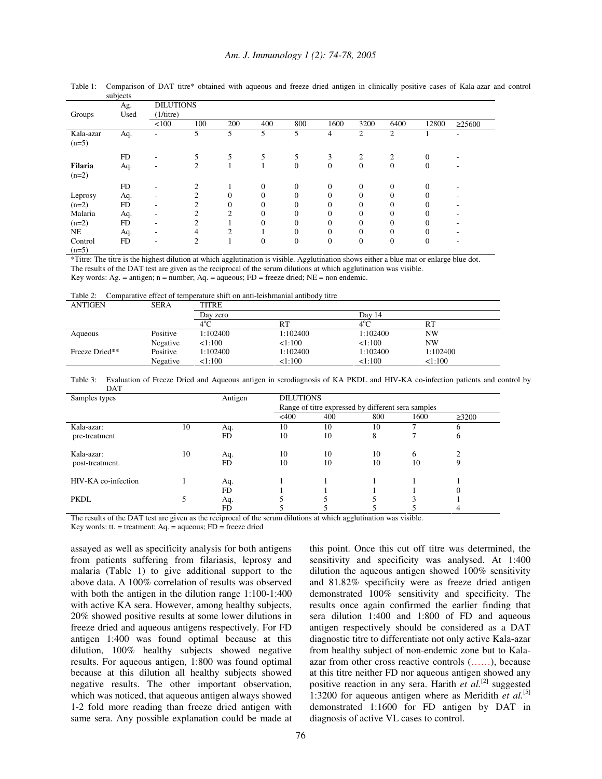|                      | Ag.       | <b>DILUTIONS</b> |                |                |                |                |                |                |                |          |              |
|----------------------|-----------|------------------|----------------|----------------|----------------|----------------|----------------|----------------|----------------|----------|--------------|
| Groups               | Used      | (1/titre)        |                |                |                |                |                |                |                |          |              |
|                      |           | < 100            | 100            | 200            | 400            | 800            | 1600           | 3200           | 6400           | 12800    | $\geq$ 25600 |
| Kala-azar<br>$(n=5)$ | Aq.       |                  | 5              | 5              | 5              | 5              | $\overline{4}$ | $\overline{c}$ | $\overline{2}$ |          |              |
|                      | <b>FD</b> | ٠                | 5              | 5              | 5              | 5              | 3              | $\overline{2}$ | $\mathfrak{2}$ | $\Omega$ |              |
| Filaria<br>$(n=2)$   | Aq.       | ٠                | $\overline{c}$ |                |                | $\overline{0}$ | $\theta$       | $\overline{0}$ | $\overline{0}$ | $\Omega$ | ٠            |
|                      | FD        | ٠                | $\overline{2}$ |                | $\overline{0}$ | $\overline{0}$ | $\mathbf{0}$   | $\overline{0}$ | $\overline{0}$ | $\Omega$ |              |
| Leprosy              | Aq.       | ٠                | $\overline{c}$ | $\overline{0}$ | $\overline{0}$ | $\Omega$       | $\Omega$       | $\theta$       | $\theta$       | $\Omega$ |              |
| $(n=2)$              | <b>FD</b> | ٠                | $\overline{c}$ | $\mathbf{0}$   | $\overline{0}$ | $\Omega$       | $\Omega$       | $\theta$       | $\theta$       | $\Omega$ |              |
| Malaria              | Aq.       | ۰                | $\overline{c}$ | $\overline{c}$ | $\overline{0}$ | $\overline{0}$ | $\mathbf{0}$   | $\theta$       | $\overline{0}$ |          |              |
| $(n=2)$              | FD        | ٠                | $\overline{2}$ |                | $\overline{0}$ | $\theta$       | $\Omega$       | $\theta$       | $\theta$       |          |              |
| <b>NE</b>            | Aq.       | ٠                | $\overline{4}$ | $\overline{c}$ |                | $\overline{0}$ | $\mathbf{0}$   | $\Omega$       | $\theta$       | $\Omega$ |              |
| Control<br>$(n=5)$   | <b>FD</b> | ٠                | 2              |                | $\mathbf{0}$   | $\overline{0}$ | $\mathbf{0}$   | $\overline{0}$ | $\overline{0}$ | $\Omega$ | ۰            |

Table 1: Comparison of DAT titre\* obtained with aqueous and freeze dried antigen in clinically positive cases of Kala-azar and control subjects

\*Titre: The titre is the highest dilution at which agglutination is visible. Agglutination shows either a blue mat or enlarge blue dot. The results of the DAT test are given as the reciprocal of the serum dilutions at which agglutination was visible. Key words: Ag. = antigen;  $n =$  number; Aq. = aqueous; FD = freeze dried; NE = non endemic.

| Table 2: |  |  |  |  | Comparative effect of temperature shift on anti-leishmanial antibody titre |  |
|----------|--|--|--|--|----------------------------------------------------------------------------|--|
|----------|--|--|--|--|----------------------------------------------------------------------------|--|

| <b>ANTIGEN</b> | <b>SERA</b> | <b>TITRE</b>  |          |               |          |  |  |  |
|----------------|-------------|---------------|----------|---------------|----------|--|--|--|
|                |             | Day zero      |          | Dav 14        |          |  |  |  |
|                |             | $4^{\circ}$ C | RT       | $4^{\circ}$ C | RT       |  |  |  |
| Aqueous        | Positive    | 1:102400      | 1:102400 | 1:102400      | NW       |  |  |  |
|                | Negative    | 1:100         | 1:100    | 1:100         | NW       |  |  |  |
| Freeze Dried** | Positive    | 1:102400      | 1:102400 | 1:102400      | 1:102400 |  |  |  |
|                | Negative    | 1:100         | 1:100    | 1:100         | 1:100    |  |  |  |

Table 3: Evaluation of Freeze Dried and Aqueous antigen in serodiagnosis of KA PKDL and HIV-KA co-infection patients and control by **DAT** 

| Samples types       |    | Antigen   | <b>DILUTIONS</b>                                   |     |     |      |             |  |  |
|---------------------|----|-----------|----------------------------------------------------|-----|-----|------|-------------|--|--|
|                     |    |           | Range of titre expressed by different sera samples |     |     |      |             |  |  |
|                     |    |           | $<$ 400                                            | 400 | 800 | 1600 | $\geq 3200$ |  |  |
| Kala-azar:          | 10 | Aq.       | 10                                                 | 10  | 10  |      |             |  |  |
| pre-treatment       |    | <b>FD</b> | 10                                                 | 10  | 8   |      | O           |  |  |
| Kala-azar:          | 10 | Aq.       | 10                                                 | 10  | 10  | 6    |             |  |  |
| post-treatment.     |    | <b>FD</b> | 10                                                 | 10  | 10  | 10   | 9           |  |  |
| HIV-KA co-infection |    | Aq.       |                                                    |     |     |      |             |  |  |
|                     |    | <b>FD</b> |                                                    |     |     |      |             |  |  |
| <b>PKDL</b>         |    | Aq.       |                                                    |     |     | κ    |             |  |  |
|                     |    | FD        |                                                    |     |     |      |             |  |  |

The results of the DAT test are given as the reciprocal of the serum dilutions at which agglutination was visible.

Key words: tt. = treatment; Aq. = aqueous; FD = freeze dried

assayed as well as specificity analysis for both antigens from patients suffering from filariasis, leprosy and malaria (Table 1) to give additional support to the above data. A 100% correlation of results was observed with both the antigen in the dilution range 1:100-1:400 with active KA sera. However, among healthy subjects, 20% showed positive results at some lower dilutions in freeze dried and aqueous antigens respectively. For FD antigen 1:400 was found optimal because at this dilution, 100% healthy subjects showed negative results. For aqueous antigen, 1:800 was found optimal because at this dilution all healthy subjects showed negative results. The other important observation, which was noticed, that aqueous antigen always showed 1-2 fold more reading than freeze dried antigen with same sera. Any possible explanation could be made at this point. Once this cut off titre was determined, the sensitivity and specificity was analysed. At 1:400 dilution the aqueous antigen showed 100% sensitivity and 81.82% specificity were as freeze dried antigen demonstrated 100% sensitivity and specificity. The results once again confirmed the earlier finding that sera dilution 1:400 and 1:800 of FD and aqueous antigen respectively should be considered as a DAT diagnostic titre to differentiate not only active Kala-azar from healthy subject of non-endemic zone but to Kalaazar from other cross reactive controls (……), because at this titre neither FD nor aqueous antigen showed any positive reaction in any sera. Harith *et al.*<sup>[2]</sup> suggested 1:3200 for aqueous antigen where as Meridith *et al.* [5] demonstrated 1:1600 for FD antigen by DAT in diagnosis of active VL cases to control.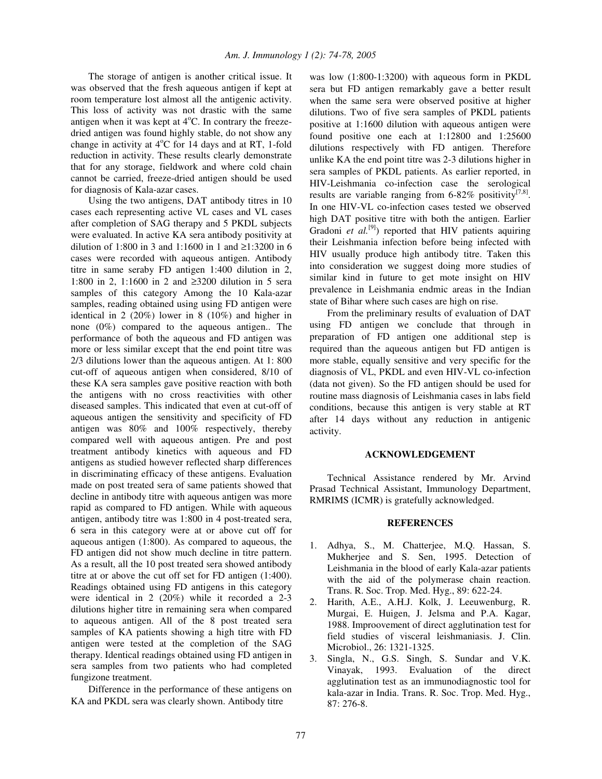The storage of antigen is another critical issue. It was observed that the fresh aqueous antigen if kept at room temperature lost almost all the antigenic activity. This loss of activity was not drastic with the same antigen when it was kept at  $4^{\circ}$ C. In contrary the freezedried antigen was found highly stable, do not show any change in activity at 4°C for 14 days and at RT, 1-fold reduction in activity. These results clearly demonstrate that for any storage, fieldwork and where cold chain cannot be carried, freeze-dried antigen should be used for diagnosis of Kala-azar cases.

Using the two antigens, DAT antibody titres in 10 cases each representing active VL cases and VL cases after completion of SAG therapy and 5 PKDL subjects were evaluated. In active KA sera antibody positivity at dilution of 1:800 in 3 and 1:1600 in 1 and ≥1:3200 in 6 cases were recorded with aqueous antigen. Antibody titre in same seraby FD antigen 1:400 dilution in 2, 1:800 in 2, 1:1600 in 2 and ≥3200 dilution in 5 sera samples of this category Among the 10 Kala-azar samples, reading obtained using using FD antigen were identical in 2 (20%) lower in 8 (10%) and higher in none (0%) compared to the aqueous antigen.. The performance of both the aqueous and FD antigen was more or less similar except that the end point titre was 2/3 dilutions lower than the aqueous antigen. At 1: 800 cut-off of aqueous antigen when considered, 8/10 of these KA sera samples gave positive reaction with both the antigens with no cross reactivities with other diseased samples. This indicated that even at cut-off of aqueous antigen the sensitivity and specificity of FD antigen was 80% and 100% respectively, thereby compared well with aqueous antigen. Pre and post treatment antibody kinetics with aqueous and FD antigens as studied however reflected sharp differences in discriminating efficacy of these antigens. Evaluation made on post treated sera of same patients showed that decline in antibody titre with aqueous antigen was more rapid as compared to FD antigen. While with aqueous antigen, antibody titre was 1:800 in 4 post-treated sera, 6 sera in this category were at or above cut off for aqueous antigen (1:800). As compared to aqueous, the FD antigen did not show much decline in titre pattern. As a result, all the 10 post treated sera showed antibody titre at or above the cut off set for FD antigen (1:400). Readings obtained using FD antigens in this category were identical in 2 (20%) while it recorded a 2-3 dilutions higher titre in remaining sera when compared to aqueous antigen. All of the 8 post treated sera samples of KA patients showing a high titre with FD antigen were tested at the completion of the SAG therapy. Identical readings obtained using FD antigen in sera samples from two patients who had completed fungizone treatment.

Difference in the performance of these antigens on KA and PKDL sera was clearly shown. Antibody titre

was low (1:800-1:3200) with aqueous form in PKDL sera but FD antigen remarkably gave a better result when the same sera were observed positive at higher dilutions. Two of five sera samples of PKDL patients positive at 1:1600 dilution with aqueous antigen were found positive one each at 1:12800 and 1:25600 dilutions respectively with FD antigen. Therefore unlike KA the end point titre was 2-3 dilutions higher in sera samples of PKDL patients. As earlier reported, in HIV-Leishmania co-infection case the serological results are variable ranging from 6-82% positivity<sup>[7,8]</sup>. In one HIV-VL co-infection cases tested we observed high DAT positive titre with both the antigen. Earlier Gradoni *et al.*<sup>[9]</sup>) reported that HIV patients aquiring their Leishmania infection before being infected with HIV usually produce high antibody titre. Taken this into consideration we suggest doing more studies of similar kind in future to get mote insight on HIV prevalence in Leishmania endmic areas in the Indian state of Bihar where such cases are high on rise.

From the preliminary results of evaluation of DAT using FD antigen we conclude that through in preparation of FD antigen one additional step is required than the aqueous antigen but FD antigen is more stable, equally sensitive and very specific for the diagnosis of VL, PKDL and even HIV-VL co-infection (data not given). So the FD antigen should be used for routine mass diagnosis of Leishmania cases in labs field conditions, because this antigen is very stable at RT after 14 days without any reduction in antigenic activity.

## **ACKNOWLEDGEMENT**

Technical Assistance rendered by Mr. Arvind Prasad Technical Assistant, Immunology Department, RMRIMS (ICMR) is gratefully acknowledged.

### **REFERENCES**

- 1. Adhya, S., M. Chatterjee, M.Q. Hassan, S. Mukherjee and S. Sen, 1995. Detection of Leishmania in the blood of early Kala-azar patients with the aid of the polymerase chain reaction. Trans. R. Soc. Trop. Med. Hyg., 89: 622-24.
- 2. Harith, A.E., A.H.J. Kolk, J. Leeuwenburg, R. Murgai, E. Huigen, J. Jelsma and P.A. Kagar, 1988. Improovement of direct agglutination test for field studies of visceral leishmaniasis. J. Clin. Microbiol., 26: 1321-1325.
- 3. Singla, N., G.S. Singh, S. Sundar and V.K. Vinayak, 1993. Evaluation of the direct agglutination test as an immunodiagnostic tool for kala-azar in India. Trans. R. Soc. Trop. Med. Hyg., 87: 276-8.